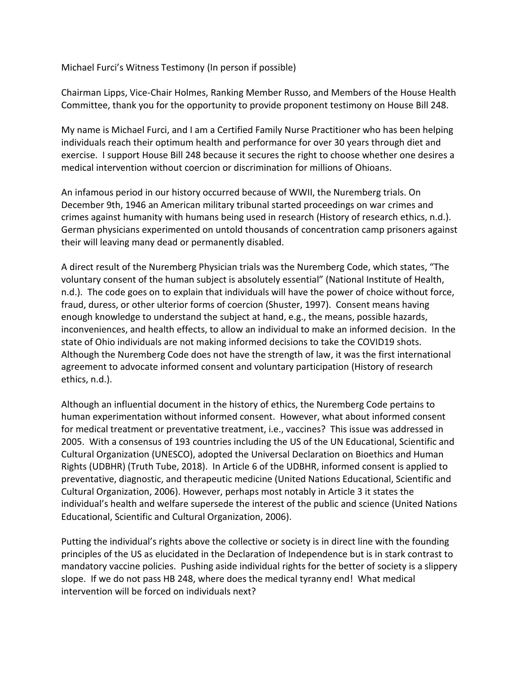Michael Furci's Witness Testimony (In person if possible)

Chairman Lipps, Vice-Chair Holmes, Ranking Member Russo, and Members of the House Health Committee, thank you for the opportunity to provide proponent testimony on House Bill 248.

My name is Michael Furci, and I am a Certified Family Nurse Practitioner who has been helping individuals reach their optimum health and performance for over 30 years through diet and exercise. I support House Bill 248 because it secures the right to choose whether one desires a medical intervention without coercion or discrimination for millions of Ohioans.

An infamous period in our history occurred because of WWII, the Nuremberg trials. On December 9th, 1946 an American military tribunal started proceedings on war crimes and crimes against humanity with humans being used in research (History of research ethics, n.d.). German physicians experimented on untold thousands of concentration camp prisoners against their will leaving many dead or permanently disabled.

A direct result of the Nuremberg Physician trials was the Nuremberg Code, which states, "The voluntary consent of the human subject is absolutely essential" (National Institute of Health, n.d.). The code goes on to explain that individuals will have the power of choice without force, fraud, duress, or other ulterior forms of coercion (Shuster, 1997). Consent means having enough knowledge to understand the subject at hand, e.g., the means, possible hazards, inconveniences, and health effects, to allow an individual to make an informed decision. In the state of Ohio individuals are not making informed decisions to take the COVID19 shots. Although the Nuremberg Code does not have the strength of law, it was the first international agreement to advocate informed consent and voluntary participation (History of research ethics, n.d.).

Although an influential document in the history of ethics, the Nuremberg Code pertains to human experimentation without informed consent. However, what about informed consent for medical treatment or preventative treatment, i.e., vaccines? This issue was addressed in 2005. With a consensus of 193 countries including the US of the UN Educational, Scientific and Cultural Organization (UNESCO), adopted the Universal Declaration on Bioethics and Human Rights (UDBHR) (Truth Tube, 2018). In Article 6 of the UDBHR, informed consent is applied to preventative, diagnostic, and therapeutic medicine (United Nations Educational, Scientific and Cultural Organization, 2006). However, perhaps most notably in Article 3 it states the individual's health and welfare supersede the interest of the public and science (United Nations Educational, Scientific and Cultural Organization, 2006).

Putting the individual's rights above the collective or society is in direct line with the founding principles of the US as elucidated in the Declaration of Independence but is in stark contrast to mandatory vaccine policies. Pushing aside individual rights for the better of society is a slippery slope. If we do not pass HB 248, where does the medical tyranny end! What medical intervention will be forced on individuals next?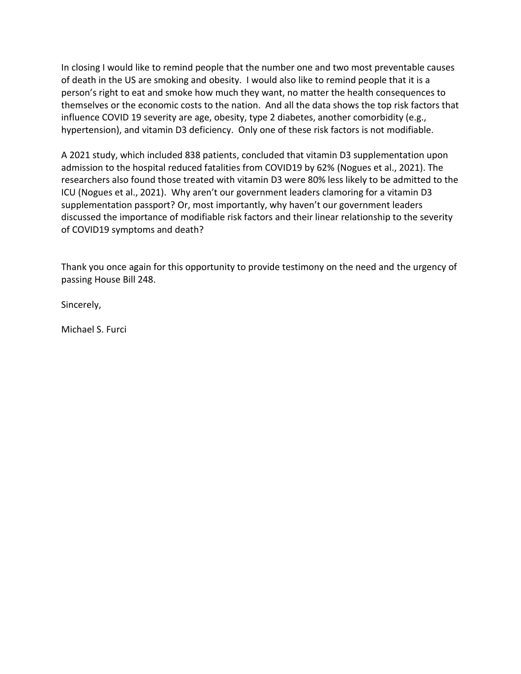In closing I would like to remind people that the number one and two most preventable causes of death in the US are smoking and obesity. I would also like to remind people that it is a person's right to eat and smoke how much they want, no matter the health consequences to themselves or the economic costs to the nation. And all the data shows the top risk factors that influence COVID 19 severity are age, obesity, type 2 diabetes, another comorbidity (e.g., hypertension), and vitamin D3 deficiency. Only one of these risk factors is not modifiable.

A 2021 study, which included 838 patients, concluded that vitamin D3 supplementation upon admission to the hospital reduced fatalities from COVID19 by 62% (Nogues et al., 2021). The researchers also found those treated with vitamin D3 were 80% less likely to be admitted to the ICU (Nogues et al., 2021). Why aren't our government leaders clamoring for a vitamin D3 supplementation passport? Or, most importantly, why haven't our government leaders discussed the importance of modifiable risk factors and their linear relationship to the severity of COVID19 symptoms and death?

Thank you once again for this opportunity to provide testimony on the need and the urgency of passing House Bill 248.

Sincerely,

Michael S. Furci